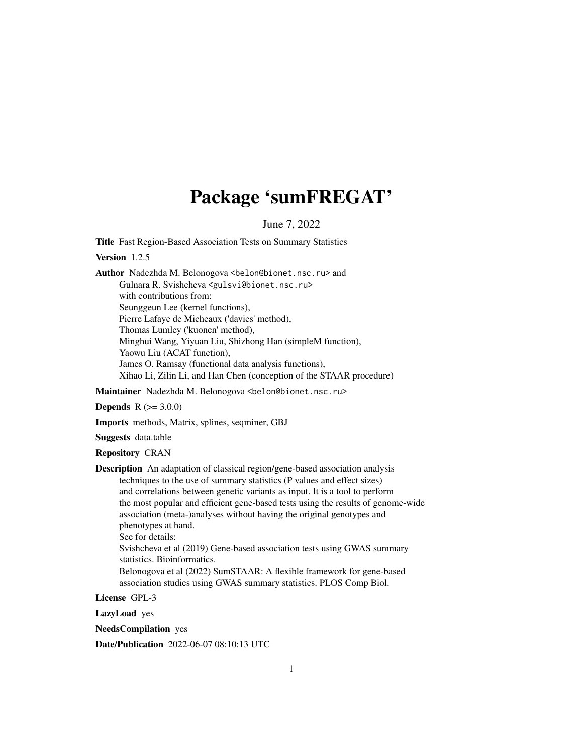# Package 'sumFREGAT'

June 7, 2022

Title Fast Region-Based Association Tests on Summary Statistics

Version 1.2.5

Author Nadezhda M. Belonogova <br/>belon@bionet.nsc.ru> and Gulnara R. Svishcheva <gulsvi@bionet.nsc.ru> with contributions from: Seunggeun Lee (kernel functions), Pierre Lafaye de Micheaux ('davies' method), Thomas Lumley ('kuonen' method), Minghui Wang, Yiyuan Liu, Shizhong Han (simpleM function), Yaowu Liu (ACAT function), James O. Ramsay (functional data analysis functions), Xihao Li, Zilin Li, and Han Chen (conception of the STAAR procedure)

Maintainer Nadezhda M. Belonogova <belon@bionet.nsc.ru>

**Depends**  $R (= 3.0.0)$ 

Imports methods, Matrix, splines, seqminer, GBJ

Suggests data.table

Repository CRAN

Description An adaptation of classical region/gene-based association analysis techniques to the use of summary statistics (P values and effect sizes) and correlations between genetic variants as input. It is a tool to perform the most popular and efficient gene-based tests using the results of genome-wide association (meta-)analyses without having the original genotypes and phenotypes at hand. See for details: Svishcheva et al (2019) Gene-based association tests using GWAS summary statistics. Bioinformatics. Belonogova et al (2022) SumSTAAR: A flexible framework for gene-based

association studies using GWAS summary statistics. PLOS Comp Biol.

License GPL-3

LazyLoad yes

NeedsCompilation yes

Date/Publication 2022-06-07 08:10:13 UTC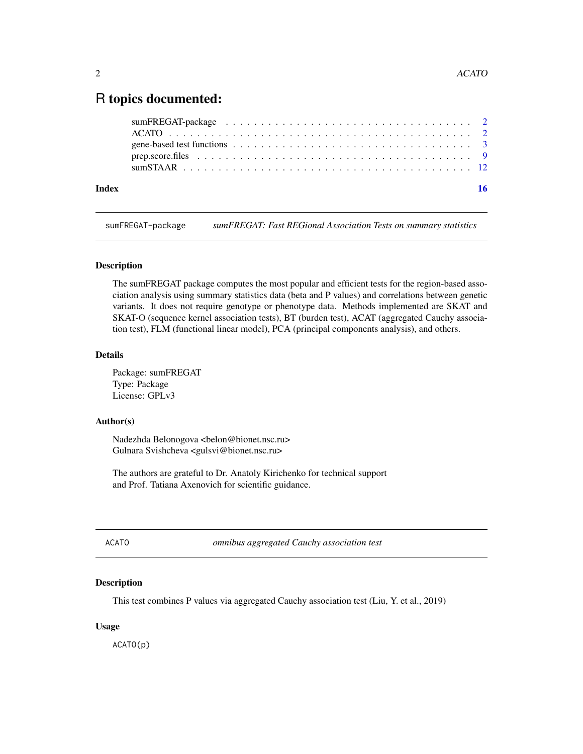# <span id="page-1-0"></span>R topics documented:

| Index |                                                                                                          |  |
|-------|----------------------------------------------------------------------------------------------------------|--|
|       |                                                                                                          |  |
|       |                                                                                                          |  |
|       | gene-based test functions $\ldots \ldots \ldots \ldots \ldots \ldots \ldots \ldots \ldots \ldots \ldots$ |  |
|       |                                                                                                          |  |
|       |                                                                                                          |  |

sumFREGAT-package *sumFREGAT: Fast REGional Association Tests on summary statistics*

# Description

The sumFREGAT package computes the most popular and efficient tests for the region-based association analysis using summary statistics data (beta and P values) and correlations between genetic variants. It does not require genotype or phenotype data. Methods implemented are SKAT and SKAT-O (sequence kernel association tests), BT (burden test), ACAT (aggregated Cauchy association test), FLM (functional linear model), PCA (principal components analysis), and others.

#### Details

Package: sumFREGAT Type: Package License: GPLv3

# Author(s)

Nadezhda Belonogova <br/>belon@bionet.nsc.ru> Gulnara Svishcheva <gulsvi@bionet.nsc.ru>

The authors are grateful to Dr. Anatoly Kirichenko for technical support and Prof. Tatiana Axenovich for scientific guidance.

ACATO *omnibus aggregated Cauchy association test*

# Description

This test combines P values via aggregated Cauchy association test (Liu, Y. et al., 2019)

# Usage

ACATO(p)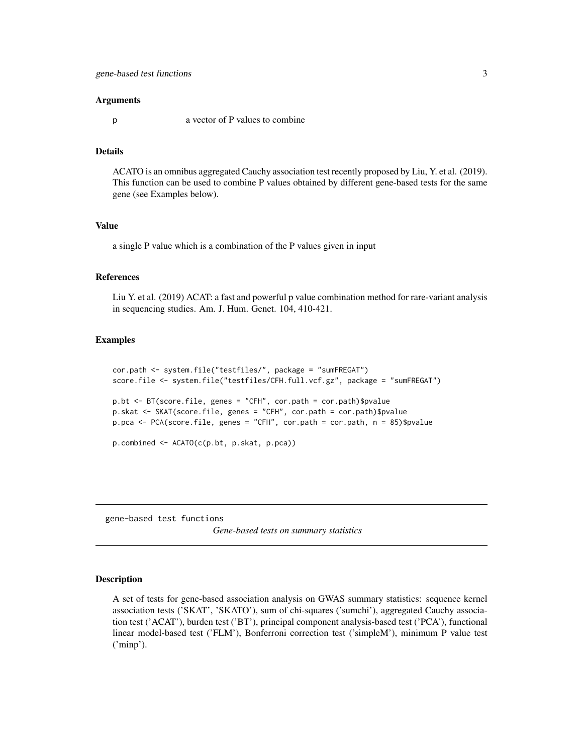#### <span id="page-2-0"></span>Arguments

p a vector of P values to combine

# Details

ACATO is an omnibus aggregated Cauchy association test recently proposed by Liu, Y. et al. (2019). This function can be used to combine P values obtained by different gene-based tests for the same gene (see Examples below).

#### Value

a single P value which is a combination of the P values given in input

# References

Liu Y. et al. (2019) ACAT: a fast and powerful p value combination method for rare-variant analysis in sequencing studies. Am. J. Hum. Genet. 104, 410-421.

# Examples

```
cor.path <- system.file("testfiles/", package = "sumFREGAT")
score.file <- system.file("testfiles/CFH.full.vcf.gz", package = "sumFREGAT")
p.bt <- BT(score.file, genes = "CFH", cor.path = cor.path)$pvalue
p.skat <- SKAT(score.file, genes = "CFH", cor.path = cor.path)$pvalue
p.pca <- PCA(score.file, genes = "CFH", cor.path = cor.path, n = 85)$pvalue
p.combined <- ACATO(c(p.bt, p.skat, p.pca))
```
gene-based test functions

*Gene-based tests on summary statistics*

## **Description**

A set of tests for gene-based association analysis on GWAS summary statistics: sequence kernel association tests ('SKAT', 'SKATO'), sum of chi-squares ('sumchi'), aggregated Cauchy association test ('ACAT'), burden test ('BT'), principal component analysis-based test ('PCA'), functional linear model-based test ('FLM'), Bonferroni correction test ('simpleM'), minimum P value test ('minp').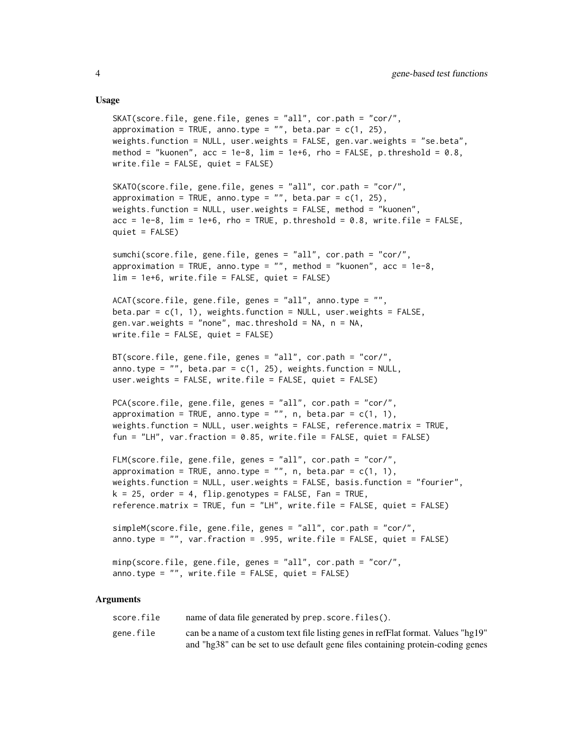#### Usage

```
SKAT(score.file, gene.file, genes = "all", cor.path = "cor/",
approximation = TRUE, anno.type = ", beta.par = c(1, 25),
weights.function = NULL, user.weights = FALSE, gen.var.weights = "se.beta",
method = "kuonen", acc = 1e-8, lim = 1e+6, rho = FALSE, p.threshold = 0.8,
write.file = FALSE, quiet = FALSE)
SKATO(score.file, gene.file, genes = "all", cor.path = "cor/",
approximation = TRUE, anno.type = ", beta.par = c(1, 25),
weights.function = NULL, user.weights = FALSE, method = "kuonen",
acc = 1e-8, lim = 1e+6, rho = TRUE, p.threshold = 0.8, write.file = FALSE,
quiet = FALSE)
sumchi(score.file, gene.file, genes = "all", cor.path = "cor/",
approximation = TRUE, anno.type = ", method = "kuonen", acc = 1e-8,
lim = 1e+6, write.file = FALSE, quiet = FALSE)
ACAT(score.file, gene.file, genes = "all", anno.type = "",
beta.par = c(1, 1), weights.function = NULL, user.weights = FALSE,
gen.var.weights = "none", mac.threshold = NA, n = NA,
write.file = FALSE, quiet = FALSE)
BT(score.file, gene.file, genes = "all", cor.path = "cor/",
anno.type = ", beta.par = c(1, 25), weights.function = NULL,
user.weights = FALSE, write.file = FALSE, quiet = FALSE)
PCA(score.file, gene.file, genes = "all", cor.path = "cor/",
approximation = TRUE, anno.type = "", n, beta.par = c(1, 1),
weights.function = NULL, user.weights = FALSE, reference.matrix = TRUE,
fun = "LH", var.fraction = 0.85, write.file = FALSE, quiet = FALSE)
FLM(score.file, gene.file, genes = "all", cor.path = "cor/",
approximation = TRUE, anno.type = '''', n, beta.par = c(1, 1),
weights.function = NULL, user.weights = FALSE, basis.function = "fourier",
k = 25, order = 4, flip.genotypes = FALSE, Fan = TRUE,
reference.matrix = TRUE, fun = "LH", write.file = FALSE, quiet = FALSE)
simpleM(score.file, gene.file, genes = "all", cor.path = "cor/",
anno.type = "", var.fraction = .995, write.file = FALSE, quiet = FALSE)
minp(score.file, gene.file, genes = "all", cor.path = "cor/",
anno.type = ", write.file = FALSE, quiet = FALSE)
```
#### Arguments

| score.file | name of data file generated by prep. score. files().                               |
|------------|------------------------------------------------------------------------------------|
| gene.file  | can be a name of a custom text file listing genes in refFlat format. Values "hg19" |
|            | and "hg38" can be set to use default gene files containing protein-coding genes    |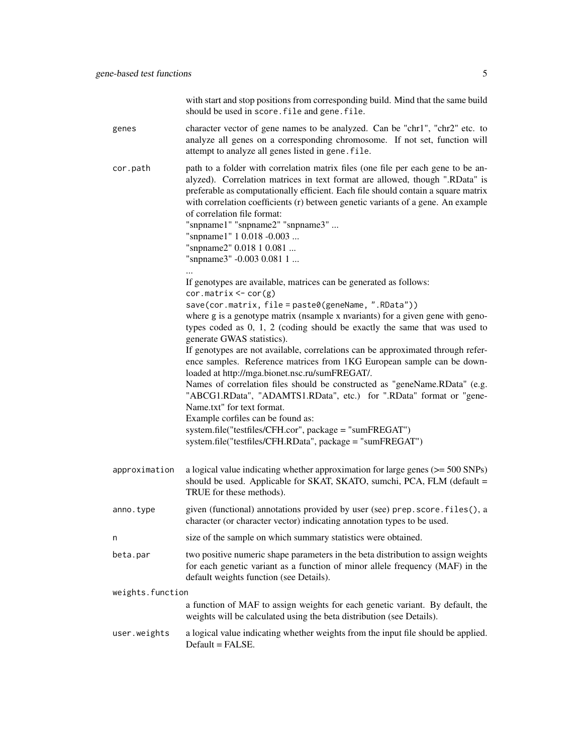|                  | with start and stop positions from corresponding build. Mind that the same build<br>should be used in score. file and gene. file.                                                                                                                                                                                                                                                                                                                                                                  |
|------------------|----------------------------------------------------------------------------------------------------------------------------------------------------------------------------------------------------------------------------------------------------------------------------------------------------------------------------------------------------------------------------------------------------------------------------------------------------------------------------------------------------|
| genes            | character vector of gene names to be analyzed. Can be "chr1", "chr2" etc. to<br>analyze all genes on a corresponding chromosome. If not set, function will<br>attempt to analyze all genes listed in gene. file.                                                                                                                                                                                                                                                                                   |
| cor.path         | path to a folder with correlation matrix files (one file per each gene to be an-<br>alyzed). Correlation matrices in text format are allowed, though ".RData" is<br>preferable as computationally efficient. Each file should contain a square matrix<br>with correlation coefficients (r) between genetic variants of a gene. An example<br>of correlation file format:<br>"snpname1" "snpname2" "snpname3"<br>"snpname1" 1 0.018 -0.003<br>"snpname2" 0.018 1 0.081<br>"snpname3" -0.003 0.081 1 |
|                  | If genotypes are available, matrices can be generated as follows:                                                                                                                                                                                                                                                                                                                                                                                                                                  |
|                  | $cor.matrix \leftarrow cor(g)$<br>save(cor.matrix, file = paste0(geneName, ".RData"))                                                                                                                                                                                                                                                                                                                                                                                                              |
|                  | where g is a genotype matrix (nsample x nvariants) for a given gene with geno-<br>types coded as 0, 1, 2 (coding should be exactly the same that was used to<br>generate GWAS statistics).                                                                                                                                                                                                                                                                                                         |
|                  | If genotypes are not available, correlations can be approximated through refer-<br>ence samples. Reference matrices from 1KG European sample can be down-<br>loaded at http://mga.bionet.nsc.ru/sumFREGAT/.                                                                                                                                                                                                                                                                                        |
|                  | Names of correlation files should be constructed as "geneName.RData" (e.g.<br>"ABCG1.RData", "ADAMTS1.RData", etc.) for ".RData" format or "gene-<br>Name.txt" for text format.                                                                                                                                                                                                                                                                                                                    |
|                  | Example corfiles can be found as:<br>system.file("testfiles/CFH.cor", package = "sumFREGAT")                                                                                                                                                                                                                                                                                                                                                                                                       |
|                  | system.file("testfiles/CFH.RData", package = "sumFREGAT")                                                                                                                                                                                                                                                                                                                                                                                                                                          |
| approximation    | a logical value indicating whether approximation for large genes $(>= 500$ SNPs)<br>should be used. Applicable for SKAT, SKATO, sumchi, PCA, FLM (default =<br>TRUE for these methods).                                                                                                                                                                                                                                                                                                            |
| anno.type        | given (functional) annotations provided by user (see) prep. score. files(), a<br>character (or character vector) indicating annotation types to be used.                                                                                                                                                                                                                                                                                                                                           |
| n                | size of the sample on which summary statistics were obtained.                                                                                                                                                                                                                                                                                                                                                                                                                                      |
| beta.par         | two positive numeric shape parameters in the beta distribution to assign weights<br>for each genetic variant as a function of minor allele frequency (MAF) in the<br>default weights function (see Details).                                                                                                                                                                                                                                                                                       |
| weights.function |                                                                                                                                                                                                                                                                                                                                                                                                                                                                                                    |
|                  | a function of MAF to assign weights for each genetic variant. By default, the<br>weights will be calculated using the beta distribution (see Details).                                                                                                                                                                                                                                                                                                                                             |
| user.weights     | a logical value indicating whether weights from the input file should be applied.<br>Default = FALSE.                                                                                                                                                                                                                                                                                                                                                                                              |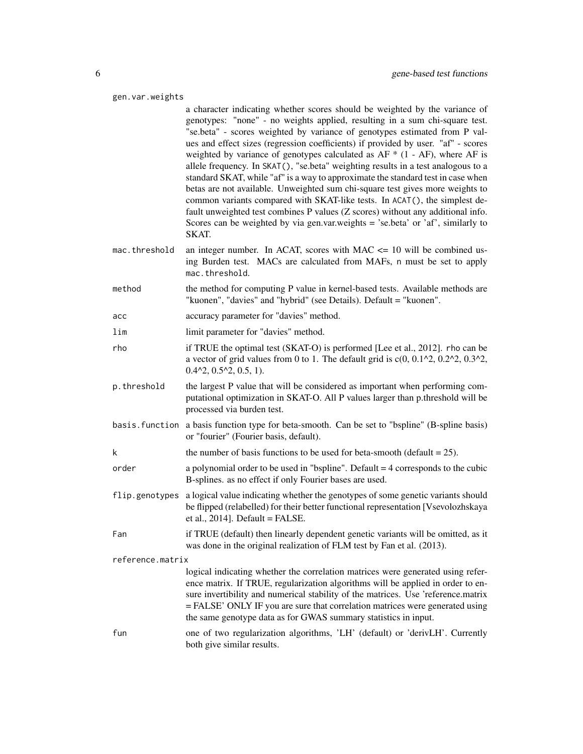| gen.var.weights  |                                                                                                                                                                                                                                                                                                                                                                                                                                                                                                                                                                                                                                                                                                                                                                                                                                                                                                                                       |  |
|------------------|---------------------------------------------------------------------------------------------------------------------------------------------------------------------------------------------------------------------------------------------------------------------------------------------------------------------------------------------------------------------------------------------------------------------------------------------------------------------------------------------------------------------------------------------------------------------------------------------------------------------------------------------------------------------------------------------------------------------------------------------------------------------------------------------------------------------------------------------------------------------------------------------------------------------------------------|--|
|                  | a character indicating whether scores should be weighted by the variance of<br>genotypes: "none" - no weights applied, resulting in a sum chi-square test.<br>"se.beta" - scores weighted by variance of genotypes estimated from P val-<br>ues and effect sizes (regression coefficients) if provided by user. "af" - scores<br>weighted by variance of genotypes calculated as $AF * (1 - AF)$ , where AF is<br>allele frequency. In SKAT(), "se.beta" weighting results in a test analogous to a<br>standard SKAT, while "af" is a way to approximate the standard test in case when<br>betas are not available. Unweighted sum chi-square test gives more weights to<br>common variants compared with SKAT-like tests. In ACAT(), the simplest de-<br>fault unweighted test combines P values (Z scores) without any additional info.<br>Scores can be weighted by via gen.var.weights = 'se.beta' or 'af', similarly to<br>SKAT. |  |
| mac.threshold    | an integer number. In ACAT, scores with MAC $\leq$ 10 will be combined us-<br>ing Burden test. MACs are calculated from MAFs, n must be set to apply<br>mac.threshold.                                                                                                                                                                                                                                                                                                                                                                                                                                                                                                                                                                                                                                                                                                                                                                |  |
| method           | the method for computing P value in kernel-based tests. Available methods are<br>"kuonen", "davies" and "hybrid" (see Details). Default = "kuonen".                                                                                                                                                                                                                                                                                                                                                                                                                                                                                                                                                                                                                                                                                                                                                                                   |  |
| асс              | accuracy parameter for "davies" method.                                                                                                                                                                                                                                                                                                                                                                                                                                                                                                                                                                                                                                                                                                                                                                                                                                                                                               |  |
| lim              | limit parameter for "davies" method.                                                                                                                                                                                                                                                                                                                                                                                                                                                                                                                                                                                                                                                                                                                                                                                                                                                                                                  |  |
| rho              | if TRUE the optimal test (SKAT-O) is performed [Lee et al., 2012]. rho can be<br>a vector of grid values from 0 to 1. The default grid is $c(0, 0.12, 0.22, 0.32)$ ,<br>$0.42$ , $0.52$ , $0.5$ , 1).                                                                                                                                                                                                                                                                                                                                                                                                                                                                                                                                                                                                                                                                                                                                 |  |
| p.threshold      | the largest P value that will be considered as important when performing com-<br>putational optimization in SKAT-O. All P values larger than p.threshold will be<br>processed via burden test.                                                                                                                                                                                                                                                                                                                                                                                                                                                                                                                                                                                                                                                                                                                                        |  |
|                  | basis. function a basis function type for beta-smooth. Can be set to "bspline" (B-spline basis)<br>or "fourier" (Fourier basis, default).                                                                                                                                                                                                                                                                                                                                                                                                                                                                                                                                                                                                                                                                                                                                                                                             |  |
| k                | the number of basis functions to be used for beta-smooth (default $= 25$ ).                                                                                                                                                                                                                                                                                                                                                                                                                                                                                                                                                                                                                                                                                                                                                                                                                                                           |  |
| order            | a polynomial order to be used in "bspline". Default $=$ 4 corresponds to the cubic<br>B-splines. as no effect if only Fourier bases are used.                                                                                                                                                                                                                                                                                                                                                                                                                                                                                                                                                                                                                                                                                                                                                                                         |  |
| flip.genotypes   | a logical value indicating whether the genotypes of some genetic variants should<br>be flipped (relabelled) for their better functional representation [Vsevolozhskaya<br>et al., $2014$ ]. Default = FALSE.                                                                                                                                                                                                                                                                                                                                                                                                                                                                                                                                                                                                                                                                                                                          |  |
| Fan              | if TRUE (default) then linearly dependent genetic variants will be omitted, as it<br>was done in the original realization of FLM test by Fan et al. (2013).                                                                                                                                                                                                                                                                                                                                                                                                                                                                                                                                                                                                                                                                                                                                                                           |  |
| reference.matrix |                                                                                                                                                                                                                                                                                                                                                                                                                                                                                                                                                                                                                                                                                                                                                                                                                                                                                                                                       |  |
|                  | logical indicating whether the correlation matrices were generated using refer-<br>ence matrix. If TRUE, regularization algorithms will be applied in order to en-<br>sure invertibility and numerical stability of the matrices. Use 'reference.matrix<br>= FALSE' ONLY IF you are sure that correlation matrices were generated using<br>the same genotype data as for GWAS summary statistics in input.                                                                                                                                                                                                                                                                                                                                                                                                                                                                                                                            |  |
| fun              | one of two regularization algorithms, 'LH' (default) or 'derivLH'. Currently<br>both give similar results.                                                                                                                                                                                                                                                                                                                                                                                                                                                                                                                                                                                                                                                                                                                                                                                                                            |  |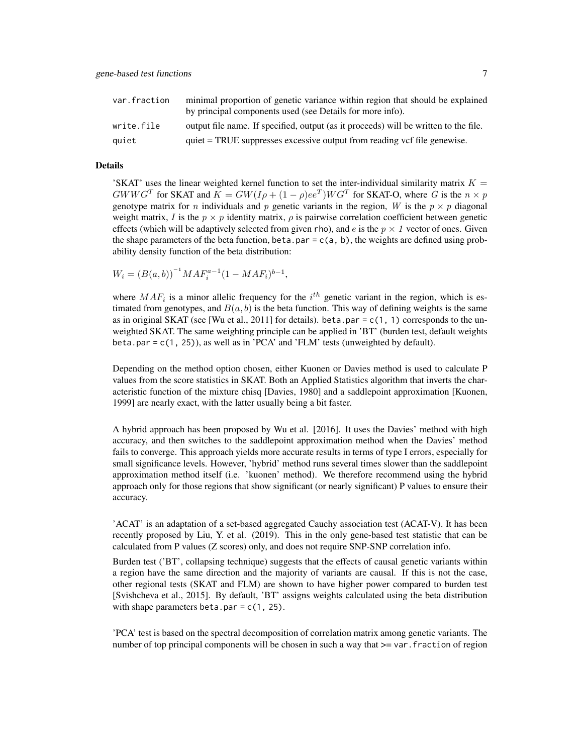| var.fraction | minimal proportion of genetic variance within region that should be explained<br>by principal components used (see Details for more info). |
|--------------|--------------------------------------------------------------------------------------------------------------------------------------------|
| write.file   | output file name. If specified, output (as it proceeds) will be written to the file.                                                       |
| quiet        | quiet = TRUE suppresses excessive output from reading vcf file genewise.                                                                   |

#### Details

'SKAT' uses the linear weighted kernel function to set the inter-individual similarity matrix  $K =$  $GWWG^{T}$  for SKAT and  $K = GW(I\rho + (1 - \rho)ee^{T})WG^{T}$  for SKAT-O, where G is the  $n \times p$ genotype matrix for *n* individuals and *p* genetic variants in the region, W is the  $p \times p$  diagonal weight matrix, I is the  $p \times p$  identity matrix,  $\rho$  is pairwise correlation coefficient between genetic effects (which will be adaptively selected from given rho), and e is the  $p \times 1$  vector of ones. Given the shape parameters of the beta function, beta.par =  $c(a, b)$ , the weights are defined using probability density function of the beta distribution:

 $W_i = (B(a, b))^{-1} M A F_i^{a-1} (1 - M A F_i)^{b-1},$ 

where  $MAF_i$  is a minor allelic frequency for the  $i^{th}$  genetic variant in the region, which is estimated from genotypes, and  $B(a, b)$  is the beta function. This way of defining weights is the same as in original SKAT (see [Wu et al., 2011] for details). beta.par =  $c(1, 1)$  corresponds to the unweighted SKAT. The same weighting principle can be applied in 'BT' (burden test, default weights beta.par =  $c(1, 25)$ , as well as in 'PCA' and 'FLM' tests (unweighted by default).

Depending on the method option chosen, either Kuonen or Davies method is used to calculate P values from the score statistics in SKAT. Both an Applied Statistics algorithm that inverts the characteristic function of the mixture chisq [Davies, 1980] and a saddlepoint approximation [Kuonen, 1999] are nearly exact, with the latter usually being a bit faster.

A hybrid approach has been proposed by Wu et al. [2016]. It uses the Davies' method with high accuracy, and then switches to the saddlepoint approximation method when the Davies' method fails to converge. This approach yields more accurate results in terms of type I errors, especially for small significance levels. However, 'hybrid' method runs several times slower than the saddlepoint approximation method itself (i.e. 'kuonen' method). We therefore recommend using the hybrid approach only for those regions that show significant (or nearly significant) P values to ensure their accuracy.

'ACAT' is an adaptation of a set-based aggregated Cauchy association test (ACAT-V). It has been recently proposed by Liu, Y. et al. (2019). This in the only gene-based test statistic that can be calculated from P values (Z scores) only, and does not require SNP-SNP correlation info.

Burden test ('BT', collapsing technique) suggests that the effects of causal genetic variants within a region have the same direction and the majority of variants are causal. If this is not the case, other regional tests (SKAT and FLM) are shown to have higher power compared to burden test [Svishcheva et al., 2015]. By default, 'BT' assigns weights calculated using the beta distribution with shape parameters beta.par =  $c(1, 25)$ .

'PCA' test is based on the spectral decomposition of correlation matrix among genetic variants. The number of top principal components will be chosen in such a way that  $>=$  var. fraction of region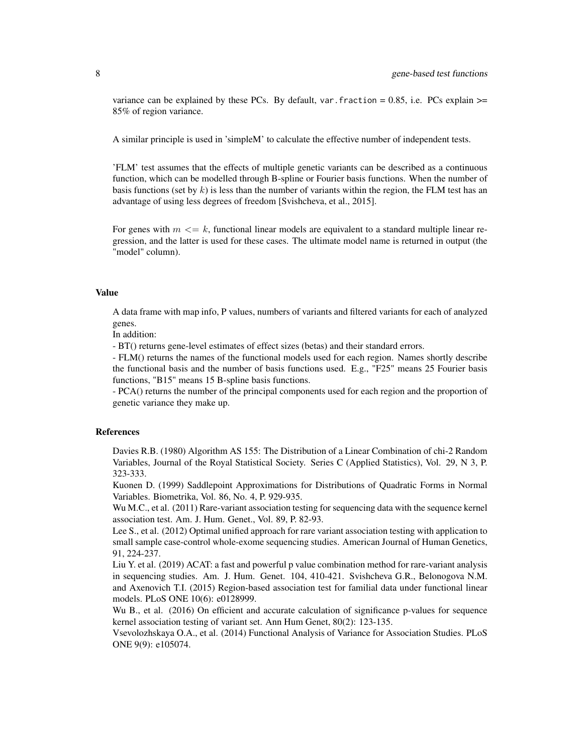variance can be explained by these PCs. By default, var. fraction =  $0.85$ , i.e. PCs explain  $\ge$ = 85% of region variance.

A similar principle is used in 'simpleM' to calculate the effective number of independent tests.

'FLM' test assumes that the effects of multiple genetic variants can be described as a continuous function, which can be modelled through B-spline or Fourier basis functions. When the number of basis functions (set by k) is less than the number of variants within the region, the FLM test has an advantage of using less degrees of freedom [Svishcheva, et al., 2015].

For genes with  $m \leq k$ , functional linear models are equivalent to a standard multiple linear regression, and the latter is used for these cases. The ultimate model name is returned in output (the "model" column).

# Value

A data frame with map info, P values, numbers of variants and filtered variants for each of analyzed genes.

In addition:

- BT() returns gene-level estimates of effect sizes (betas) and their standard errors.

- FLM() returns the names of the functional models used for each region. Names shortly describe the functional basis and the number of basis functions used. E.g., "F25" means 25 Fourier basis functions, "B15" means 15 B-spline basis functions.

- PCA() returns the number of the principal components used for each region and the proportion of genetic variance they make up.

#### References

Davies R.B. (1980) Algorithm AS 155: The Distribution of a Linear Combination of chi-2 Random Variables, Journal of the Royal Statistical Society. Series C (Applied Statistics), Vol. 29, N 3, P. 323-333.

Kuonen D. (1999) Saddlepoint Approximations for Distributions of Quadratic Forms in Normal Variables. Biometrika, Vol. 86, No. 4, P. 929-935.

Wu M.C., et al. (2011) Rare-variant association testing for sequencing data with the sequence kernel association test. Am. J. Hum. Genet., Vol. 89, P. 82-93.

Lee S., et al. (2012) Optimal unified approach for rare variant association testing with application to small sample case-control whole-exome sequencing studies. American Journal of Human Genetics, 91, 224-237.

Liu Y. et al. (2019) ACAT: a fast and powerful p value combination method for rare-variant analysis in sequencing studies. Am. J. Hum. Genet. 104, 410-421. Svishcheva G.R., Belonogova N.M. and Axenovich T.I. (2015) Region-based association test for familial data under functional linear models. PLoS ONE 10(6): e0128999.

Wu B., et al. (2016) On efficient and accurate calculation of significance p-values for sequence kernel association testing of variant set. Ann Hum Genet, 80(2): 123-135.

Vsevolozhskaya O.A., et al. (2014) Functional Analysis of Variance for Association Studies. PLoS ONE 9(9): e105074.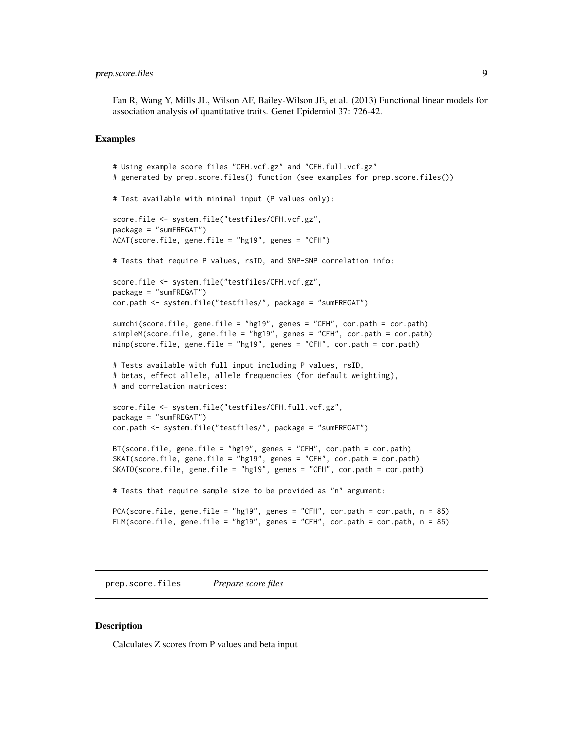# <span id="page-8-0"></span>prep.score.files 9

Fan R, Wang Y, Mills JL, Wilson AF, Bailey-Wilson JE, et al. (2013) Functional linear models for association analysis of quantitative traits. Genet Epidemiol 37: 726-42.

#### Examples

```
# Using example score files "CFH.vcf.gz" and "CFH.full.vcf.gz"
# generated by prep.score.files() function (see examples for prep.score.files())
# Test available with minimal input (P values only):
score.file <- system.file("testfiles/CFH.vcf.gz",
package = "sumFREGAT")
ACAT(score.file, gene.file = "hg19", genes = "CFH")
# Tests that require P values, rsID, and SNP-SNP correlation info:
score.file <- system.file("testfiles/CFH.vcf.gz",
package = "sumFREGAT")
cor.path <- system.file("testfiles/", package = "sumFREGAT")
sumchi(score.file, gene.file = "hg19", genes = "CFH", cor.path = cor.path)
simpleM(score.file, gene.file = "hg19", genes = "CFH", cor.path = cor.path)
minp(score.file, gene.file = "hg19", genes = "CFH", cor.path = cor.path)
# Tests available with full input including P values, rsID,
# betas, effect allele, allele frequencies (for default weighting),
# and correlation matrices:
score.file <- system.file("testfiles/CFH.full.vcf.gz",
package = "sumFREGAT")
cor.path <- system.file("testfiles/", package = "sumFREGAT")
BT(score.file, gene.file = "hg19", genes = "CFH", cor.path = cor.path)
SKAT(score.file, gene.file = "hg19", genes = "CFH", cor.path = cor.path)
SKATO(score.file, gene.file = "hg19", genes = "CFH", cor.path = cor.path)
# Tests that require sample size to be provided as "n" argument:
PCA(score.file, gene.file = "hg19", genes = "CFH", cor.path = cor.path, n = 85)
FLM(score.file, gene.file = "hg19", genes = "CFH", cor.path = cor.path, n = 85)
```
prep.score.files *Prepare score files*

## **Description**

Calculates Z scores from P values and beta input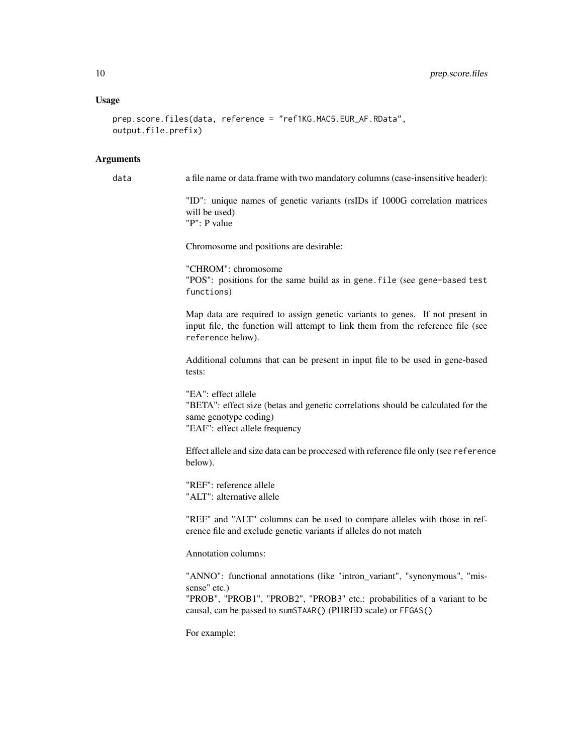# Usage

```
prep.score.files(data, reference = "ref1KG.MAC5.EUR_AF.RData",
output.file.prefix)
```
#### **Arguments**

data a file name or data.frame with two mandatory columns (case-insensitive header):

"ID": unique names of genetic variants (rsIDs if 1000G correlation matrices will be used) "P": P value

Chromosome and positions are desirable:

"CHROM": chromosome "POS": positions for the same build as in gene.file (see gene-based test functions)

Map data are required to assign genetic variants to genes. If not present in input file, the function will attempt to link them from the reference file (see reference below).

Additional columns that can be present in input file to be used in gene-based tests:

"EA": effect allele "BETA": effect size (betas and genetic correlations should be calculated for the same genotype coding) "EAF": effect allele frequency

Effect allele and size data can be proccesed with reference file only (see reference below).

"REF": reference allele "ALT": alternative allele

"REF" and "ALT" columns can be used to compare alleles with those in reference file and exclude genetic variants if alleles do not match

Annotation columns:

"ANNO": functional annotations (like "intron\_variant", "synonymous", "missense" etc.)

"PROB", "PROB1", "PROB2", "PROB3" etc.: probabilities of a variant to be causal, can be passed to sumSTAAR() (PHRED scale) or FFGAS()

For example: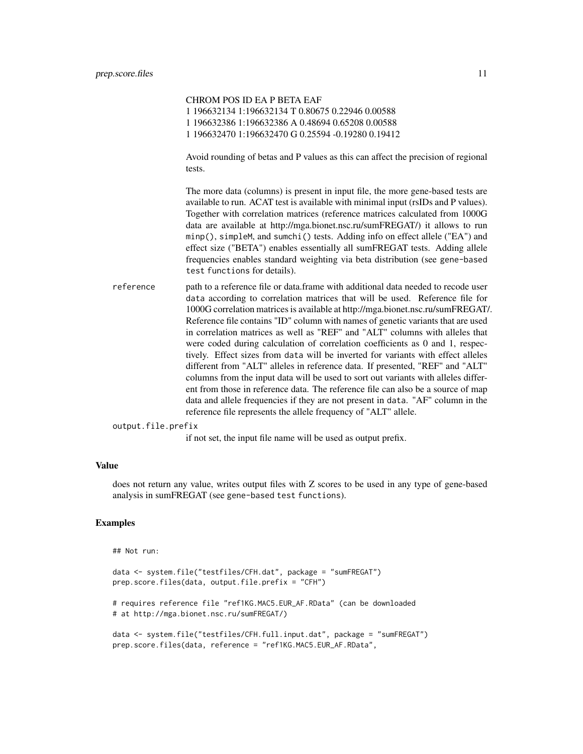|                    | CHROM POS ID EA P BETA EAF                                                                                                                                                                                                                                                                                                                                                                                                                                                                                                                                                                                                                                                                                                                                                                                                                                                                                                                                                                                     |
|--------------------|----------------------------------------------------------------------------------------------------------------------------------------------------------------------------------------------------------------------------------------------------------------------------------------------------------------------------------------------------------------------------------------------------------------------------------------------------------------------------------------------------------------------------------------------------------------------------------------------------------------------------------------------------------------------------------------------------------------------------------------------------------------------------------------------------------------------------------------------------------------------------------------------------------------------------------------------------------------------------------------------------------------|
|                    | 1 196632134 1:196632134 T 0.80675 0.22946 0.00588                                                                                                                                                                                                                                                                                                                                                                                                                                                                                                                                                                                                                                                                                                                                                                                                                                                                                                                                                              |
|                    | 1 196632386 1:196632386 A 0.48694 0.65208 0.00588                                                                                                                                                                                                                                                                                                                                                                                                                                                                                                                                                                                                                                                                                                                                                                                                                                                                                                                                                              |
|                    | 1 196632470 1:196632470 G 0.25594 -0.19280 0.19412                                                                                                                                                                                                                                                                                                                                                                                                                                                                                                                                                                                                                                                                                                                                                                                                                                                                                                                                                             |
|                    | Avoid rounding of betas and P values as this can affect the precision of regional<br>tests.                                                                                                                                                                                                                                                                                                                                                                                                                                                                                                                                                                                                                                                                                                                                                                                                                                                                                                                    |
|                    | The more data (columns) is present in input file, the more gene-based tests are<br>available to run. ACAT test is available with minimal input (rsIDs and P values).<br>Together with correlation matrices (reference matrices calculated from 1000G<br>data are available at http://mga.bionet.nsc.ru/sumFREGAT/) it allows to run<br>minp(), simpleM, and sumchi() tests. Adding info on effect allele ("EA") and<br>effect size ("BETA") enables essentially all sumFREGAT tests. Adding allele<br>frequencies enables standard weighting via beta distribution (see gene-based<br>test functions for details).                                                                                                                                                                                                                                                                                                                                                                                             |
| reference          | path to a reference file or data.frame with additional data needed to recode user<br>data according to correlation matrices that will be used. Reference file for<br>1000G correlation matrices is available at http://mga.bionet.nsc.ru/sumFREGAT/.<br>Reference file contains "ID" column with names of genetic variants that are used<br>in correlation matrices as well as "REF" and "ALT" columns with alleles that<br>were coded during calculation of correlation coefficients as 0 and 1, respec-<br>tively. Effect sizes from data will be inverted for variants with effect alleles<br>different from "ALT" alleles in reference data. If presented, "REF" and "ALT"<br>columns from the input data will be used to sort out variants with alleles differ-<br>ent from those in reference data. The reference file can also be a source of map<br>data and allele frequencies if they are not present in data. "AF" column in the<br>reference file represents the allele frequency of "ALT" allele. |
| output.file.prefix |                                                                                                                                                                                                                                                                                                                                                                                                                                                                                                                                                                                                                                                                                                                                                                                                                                                                                                                                                                                                                |
|                    | if not set, the input file name will be used as output prefix.                                                                                                                                                                                                                                                                                                                                                                                                                                                                                                                                                                                                                                                                                                                                                                                                                                                                                                                                                 |

# Value

does not return any value, writes output files with Z scores to be used in any type of gene-based analysis in sumFREGAT (see gene-based test functions).

# Examples

```
## Not run:
```

```
data <- system.file("testfiles/CFH.dat", package = "sumFREGAT")
prep.score.files(data, output.file.prefix = "CFH")
# requires reference file "ref1KG.MAC5.EUR_AF.RData" (can be downloaded
# at http://mga.bionet.nsc.ru/sumFREGAT/)
data <- system.file("testfiles/CFH.full.input.dat", package = "sumFREGAT")
prep.score.files(data, reference = "ref1KG.MAC5.EUR_AF.RData",
```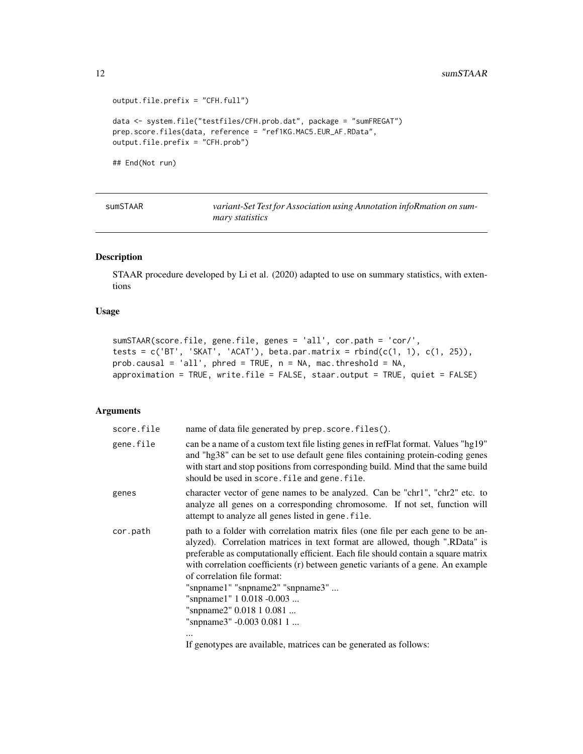```
output.file.prefix = "CFH.full")
data <- system.file("testfiles/CFH.prob.dat", package = "sumFREGAT")
prep.score.files(data, reference = "ref1KG.MAC5.EUR_AF.RData",
output.file.prefix = "CFH.prob")
```
## End(Not run)

| SUMSTAAR | variant-Set Test for Association using Annotation infoRmation on sum- |
|----------|-----------------------------------------------------------------------|
|          | <i>mary statistics</i>                                                |

# Description

STAAR procedure developed by Li et al. (2020) adapted to use on summary statistics, with extentions

### Usage

```
sumSTAAR(score.file, gene.file, genes = 'all', cor.path = 'cor/',
tests = c('BT', 'SKAT', 'ACAT'), beta.par.matrix = rbind(c(1, 1), c(1, 25)),prob.causal = 'all', phred = TRUE, n = NA, mac.threshold = NA,
approximation = TRUE, write.file = FALSE, staar.output = TRUE, quiet = FALSE)
```
# Arguments

| score.file | name of data file generated by prep. score. files().                                                                                                                                                                                                                                                                                                                                                                                                                                                           |
|------------|----------------------------------------------------------------------------------------------------------------------------------------------------------------------------------------------------------------------------------------------------------------------------------------------------------------------------------------------------------------------------------------------------------------------------------------------------------------------------------------------------------------|
| gene.file  | can be a name of a custom text file listing genes in refFlat format. Values "hg19"<br>and "hg38" can be set to use default gene files containing protein-coding genes<br>with start and stop positions from corresponding build. Mind that the same build<br>should be used in score. file and gene. file.                                                                                                                                                                                                     |
| genes      | character vector of gene names to be analyzed. Can be "chr1", "chr2" etc. to<br>analyze all genes on a corresponding chromosome. If not set, function will<br>attempt to analyze all genes listed in gene. file.                                                                                                                                                                                                                                                                                               |
| cor.path   | path to a folder with correlation matrix files (one file per each gene to be an-<br>alyzed). Correlation matrices in text format are allowed, though ".RData" is<br>preferable as computationally efficient. Each file should contain a square matrix<br>with correlation coefficients (r) between genetic variants of a gene. An example<br>of correlation file format:<br>"snpname1" "snpname2" "snpname3"<br>"snpname1" 1 0.018 -0.003<br>"snpname2" 0.018 1 0.081<br>"snpname3" -0.003 0.081 1<br>$\cdots$ |

If genotypes are available, matrices can be generated as follows: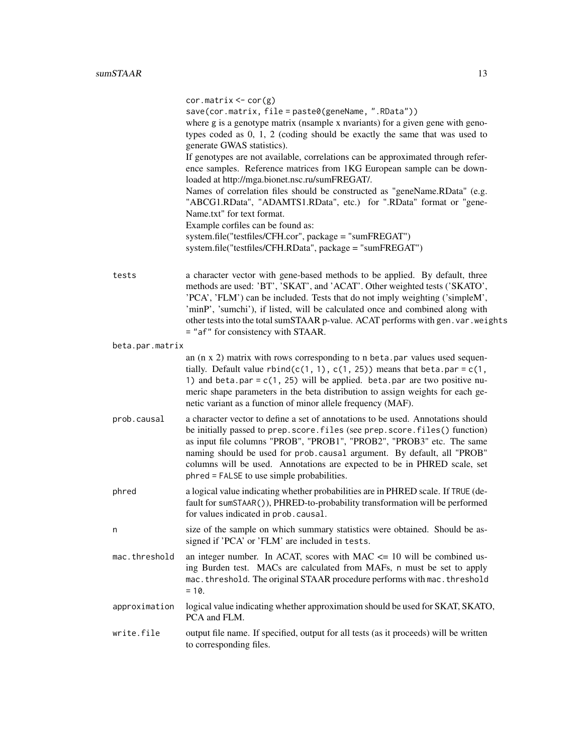|                 | $cor.matrix < -cor(g)$<br>save(cor.matrix, file = paste0(geneName, ".RData"))<br>where g is a genotype matrix (nsample x nvariants) for a given gene with geno-<br>types coded as $0$ , $1$ , $2$ (coding should be exactly the same that was used to<br>generate GWAS statistics).<br>If genotypes are not available, correlations can be approximated through refer-<br>ence samples. Reference matrices from 1KG European sample can be down-<br>loaded at http://mga.bionet.nsc.ru/sumFREGAT/.<br>Names of correlation files should be constructed as "geneName.RData" (e.g.<br>"ABCG1.RData", "ADAMTS1.RData", etc.) for ".RData" format or "gene-<br>Name.txt" for text format.<br>Example corfiles can be found as:<br>system.file("testfiles/CFH.cor", package = "sumFREGAT")<br>system.file("testfiles/CFH.RData", package = "sumFREGAT") |
|-----------------|----------------------------------------------------------------------------------------------------------------------------------------------------------------------------------------------------------------------------------------------------------------------------------------------------------------------------------------------------------------------------------------------------------------------------------------------------------------------------------------------------------------------------------------------------------------------------------------------------------------------------------------------------------------------------------------------------------------------------------------------------------------------------------------------------------------------------------------------------|
| tests           | a character vector with gene-based methods to be applied. By default, three<br>methods are used: 'BT', 'SKAT', and 'ACAT'. Other weighted tests ('SKATO',<br>'PCA', 'FLM') can be included. Tests that do not imply weighting ('simpleM',<br>'minP', 'sumchi'), if listed, will be calculated once and combined along with<br>other tests into the total sumSTAAR p-value. ACAT performs with gen. var. weights<br>= "af" for consistency with STAAR.                                                                                                                                                                                                                                                                                                                                                                                              |
| beta.par.matrix |                                                                                                                                                                                                                                                                                                                                                                                                                                                                                                                                                                                                                                                                                                                                                                                                                                                    |
|                 | an $(n \times 2)$ matrix with rows corresponding to n beta. par values used sequen-<br>tially. Default value $rbind(c(1, 1), c(1, 25))$ means that beta.par = c(1,<br>1) and beta.par = $c(1, 25)$ will be applied. beta.par are two positive nu-<br>meric shape parameters in the beta distribution to assign weights for each ge-<br>netic variant as a function of minor allele frequency (MAF).                                                                                                                                                                                                                                                                                                                                                                                                                                                |
| prob.causal     | a character vector to define a set of annotations to be used. Annotations should<br>be initially passed to prep. score. files (see prep. score. files () function)<br>as input file columns "PROB", "PROB1", "PROB2", "PROB3" etc. The same<br>naming should be used for prob.causal argument. By default, all "PROB"<br>columns will be used. Annotations are expected to be in PHRED scale, set<br>phred = FALSE to use simple probabilities.                                                                                                                                                                                                                                                                                                                                                                                                    |
| phred           | a logical value indicating whether probabilities are in PHRED scale. If TRUE (de-<br>fault for sumSTAAR()), PHRED-to-probability transformation will be performed<br>for values indicated in prob. causal.                                                                                                                                                                                                                                                                                                                                                                                                                                                                                                                                                                                                                                         |
| n               | size of the sample on which summary statistics were obtained. Should be as-<br>signed if 'PCA' or 'FLM' are included in tests.                                                                                                                                                                                                                                                                                                                                                                                                                                                                                                                                                                                                                                                                                                                     |
| mac.threshold   | an integer number. In ACAT, scores with MAC $\leq$ 10 will be combined us-<br>ing Burden test. MACs are calculated from MAFs, n must be set to apply<br>mac.threshold. The original STAAR procedure performs with mac.threshold<br>$= 10.$                                                                                                                                                                                                                                                                                                                                                                                                                                                                                                                                                                                                         |
| approximation   | logical value indicating whether approximation should be used for SKAT, SKATO,<br>PCA and FLM.                                                                                                                                                                                                                                                                                                                                                                                                                                                                                                                                                                                                                                                                                                                                                     |
| write.file      | output file name. If specified, output for all tests (as it proceeds) will be written<br>to corresponding files.                                                                                                                                                                                                                                                                                                                                                                                                                                                                                                                                                                                                                                                                                                                                   |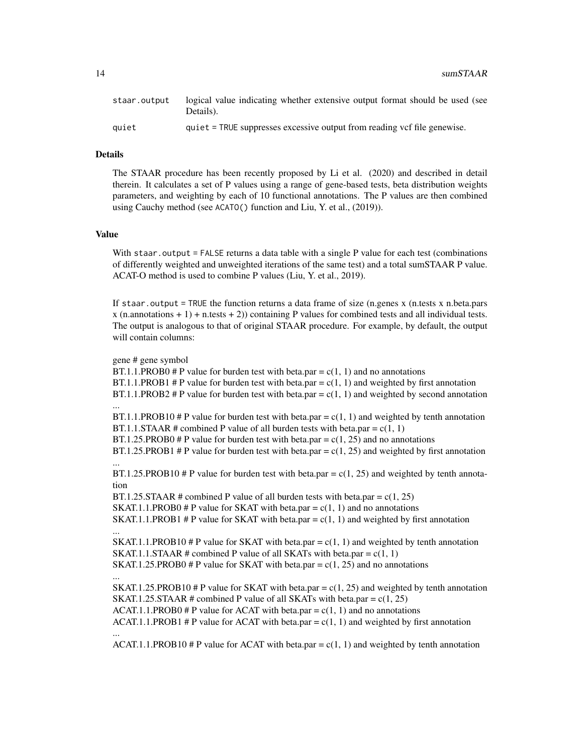| staar.output | logical value indicating whether extensive output format should be used (see<br>Details). |
|--------------|-------------------------------------------------------------------------------------------|
| auiet        | quiet = TRUE suppresses excessive output from reading vcf file genewise.                  |

# Details

The STAAR procedure has been recently proposed by Li et al. (2020) and described in detail therein. It calculates a set of P values using a range of gene-based tests, beta distribution weights parameters, and weighting by each of 10 functional annotations. The P values are then combined using Cauchy method (see ACATO() function and Liu, Y. et al., (2019)).

# Value

With staar.output = FALSE returns a data table with a single P value for each test (combinations of differently weighted and unweighted iterations of the same test) and a total sumSTAAR P value. ACAT-O method is used to combine P values (Liu, Y. et al., 2019).

If staar.output = TRUE the function returns a data frame of size (n.genes x (n.tests x n.beta.pars  $x$  (n.annotations  $+ 1$ ) + n.tests  $+ 2$ )) containing P values for combined tests and all individual tests. The output is analogous to that of original STAAR procedure. For example, by default, the output will contain columns:

gene # gene symbol

...

...

...

BT.1.1.PROB0 # P value for burden test with beta.par =  $c(1, 1)$  and no annotations BT.1.1.PROB1 # P value for burden test with beta.par =  $c(1, 1)$  and weighted by first annotation  $BT.1.1.PROB2 \# P$  value for burden test with beta.par =  $c(1, 1)$  and weighted by second annotation

 $BT.1.1.PROB10$  # P value for burden test with beta.par =  $c(1, 1)$  and weighted by tenth annotation BT.1.1.STAAR # combined P value of all burden tests with beta.par =  $c(1, 1)$ 

 $BT.1.25.PROB0$  # P value for burden test with beta.par =  $c(1, 25)$  and no annotations

BT.1.25.PROB1 # P value for burden test with beta.par =  $c(1, 25)$  and weighted by first annotation ...

BT.1.25.PROB10 # P value for burden test with beta.par =  $c(1, 25)$  and weighted by tenth annotation

BT.1.25.STAAR # combined P value of all burden tests with beta.par =  $c(1, 25)$ SKAT.1.1.PROB0 # P value for SKAT with beta.par =  $c(1, 1)$  and no annotations SKAT.1.1.PROB1 # P value for SKAT with beta.par =  $c(1, 1)$  and weighted by first annotation

SKAT.1.1.PROB10 # P value for SKAT with beta.par =  $c(1, 1)$  and weighted by tenth annotation SKAT.1.1.STAAR # combined P value of all SKATs with beta.par =  $c(1, 1)$ SKAT.1.25.PROB0 # P value for SKAT with beta.par =  $c(1, 25)$  and no annotations

SKAT.1.25.PROB10 # P value for SKAT with beta.par =  $c(1, 25)$  and weighted by tenth annotation SKAT.1.25.STAAR # combined P value of all SKATs with beta.par =  $c(1, 25)$  $ACAT.1.1.PROB0 \# P$  value for ACAT with beta.par = c(1, 1) and no annotations ACAT.1.1.PROB1 # P value for ACAT with beta.par =  $c(1, 1)$  and weighted by first annotation ...

ACAT.1.1.PROB10 # P value for ACAT with beta.par =  $c(1, 1)$  and weighted by tenth annotation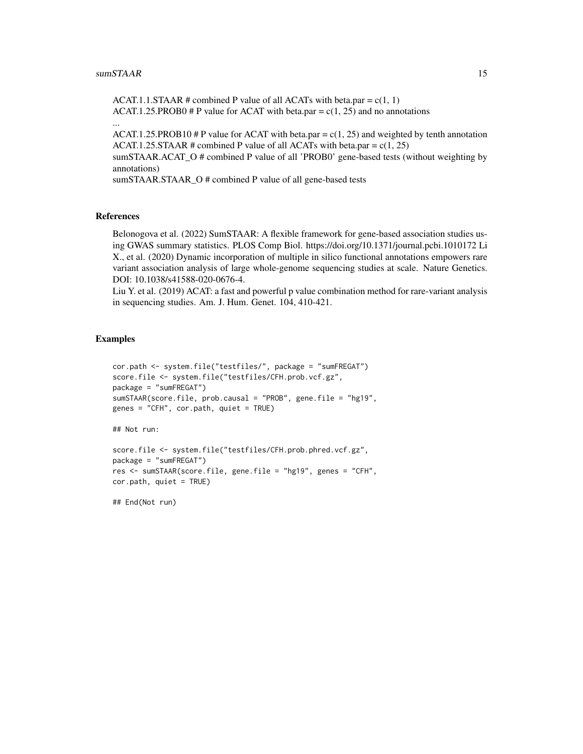...

ACAT.1.1.STAAR # combined P value of all ACATs with beta.par =  $c(1, 1)$ ACAT.1.25.PROB0 # P value for ACAT with beta.par =  $c(1, 25)$  and no annotations

ACAT.1.25.PROB10 # P value for ACAT with beta.par =  $c(1, 25)$  and weighted by tenth annotation ACAT.1.25.STAAR # combined P value of all ACATs with beta.par =  $c(1, 25)$ 

sumSTAAR.ACAT\_O # combined P value of all 'PROB0' gene-based tests (without weighting by annotations)

sumSTAAR.STAAR\_O # combined P value of all gene-based tests

#### References

Belonogova et al. (2022) SumSTAAR: A flexible framework for gene-based association studies using GWAS summary statistics. PLOS Comp Biol. https://doi.org/10.1371/journal.pcbi.1010172 Li X., et al. (2020) Dynamic incorporation of multiple in silico functional annotations empowers rare variant association analysis of large whole-genome sequencing studies at scale. Nature Genetics. DOI: 10.1038/s41588-020-0676-4.

Liu Y. et al. (2019) ACAT: a fast and powerful p value combination method for rare-variant analysis in sequencing studies. Am. J. Hum. Genet. 104, 410-421.

#### Examples

```
cor.path <- system.file("testfiles/", package = "sumFREGAT")
score.file <- system.file("testfiles/CFH.prob.vcf.gz",
package = "sumFREGAT")
sumSTAAR(score.file, prob.causal = "PROB", gene.file = "hg19",
genes = "CFH", cor.path, quiet = TRUE)
```
## Not run:

```
score.file <- system.file("testfiles/CFH.prob.phred.vcf.gz",
package = "sumFREGAT")
res <- sumSTAAR(score.file, gene.file = "hg19", genes = "CFH",
cor.path, quiet = TRUE)
```
## End(Not run)